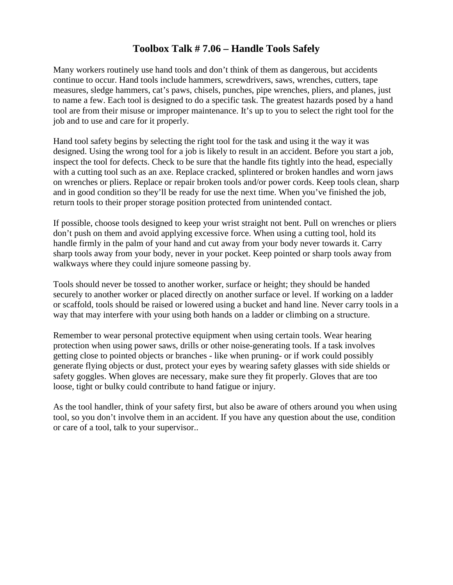## **Toolbox Talk # 7.06 – Handle Tools Safely**

Many workers routinely use hand tools and don't think of them as dangerous, but accidents continue to occur. Hand tools include hammers, screwdrivers, saws, wrenches, cutters, tape measures, sledge hammers, cat's paws, chisels, punches, pipe wrenches, pliers, and planes, just to name a few. Each tool is designed to do a specific task. The greatest hazards posed by a hand tool are from their misuse or improper maintenance. It's up to you to select the right tool for the job and to use and care for it properly.

Hand tool safety begins by selecting the right tool for the task and using it the way it was designed. Using the wrong tool for a job is likely to result in an accident. Before you start a job, inspect the tool for defects. Check to be sure that the handle fits tightly into the head, especially with a cutting tool such as an axe. Replace cracked, splintered or broken handles and worn jaws on wrenches or pliers. Replace or repair broken tools and/or power cords. Keep tools clean, sharp and in good condition so they'll be ready for use the next time. When you've finished the job, return tools to their proper storage position protected from unintended contact.

If possible, choose tools designed to keep your wrist straight not bent. Pull on wrenches or pliers don't push on them and avoid applying excessive force. When using a cutting tool, hold its handle firmly in the palm of your hand and cut away from your body never towards it. Carry sharp tools away from your body, never in your pocket. Keep pointed or sharp tools away from walkways where they could injure someone passing by.

Tools should never be tossed to another worker, surface or height; they should be handed securely to another worker or placed directly on another surface or level. If working on a ladder or scaffold, tools should be raised or lowered using a bucket and hand line. Never carry tools in a way that may interfere with your using both hands on a ladder or climbing on a structure.

Remember to wear personal protective equipment when using certain tools. Wear hearing protection when using power saws, drills or other noise-generating tools. If a task involves getting close to pointed objects or branches - like when pruning- or if work could possibly generate flying objects or dust, protect your eyes by wearing safety glasses with side shields or safety goggles. When gloves are necessary, make sure they fit properly. Gloves that are too loose, tight or bulky could contribute to hand fatigue or injury.

As the tool handler, think of your safety first, but also be aware of others around you when using tool, so you don't involve them in an accident. If you have any question about the use, condition or care of a tool, talk to your supervisor..